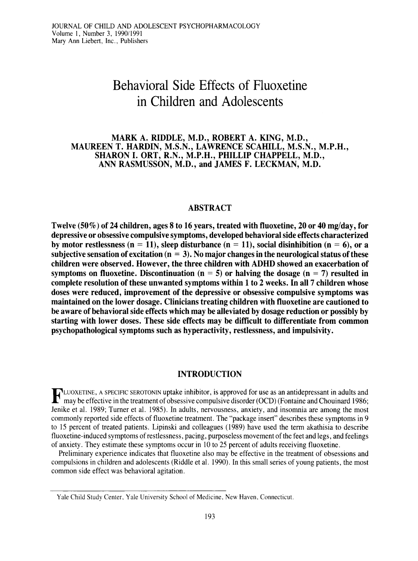# Behavioral Side Effects of Fluoxetine in Children and Adolescents

# MARK A. RIDDLE, M.D., ROBERT A. KING, M.D., MAUREEN T. HARDIN, M.S.N., LAWRENCE SCAHILL, M.S.N., M.P.H., SHARON I. ORT, R.N., M.P.H., PHILLIP CHAPPELL, M.D., ANN RASMUSSON, M.D., and JAMES F. LECKMAN, M.D.

# ABSTRACT

Twelve (50%) of <sup>24</sup> children, ages <sup>8</sup> to <sup>16</sup> years, treated with fluoxetine, <sup>20</sup> or <sup>40</sup> mg/day, for depressive or obsessive compulsive symptoms, developed behavioral side effects characterized by motor restlessness (n = 11), sleep disturbance (n = 11), social disinhibition (n = 6), or a subjective sensation of excitation ( $n = 3$ ). No major changes in the neurological status of these children were observed. However, the three children with ADHD showed an exacerbation of symptoms on fluoxetine. Discontinuation  $(n = 5)$  or halving the dosage  $(n = 7)$  resulted in complete resolution of these unwanted symptoms within <sup>1</sup> to <sup>2</sup> weeks. In all <sup>7</sup> children whose doses were reduced, improvement of the depressive or obsessive compulsive symptoms was maintained on the lower dosage. Clinicians treating children with fluoxetine are cautioned to be aware of behavioral side effects which may be alleviated by dosage reduction or possibly by starting with lower doses. These side effects may be difficult to differentiate from common psychopathological symptoms such as hyperactivity, restlessness, and impulsivity.

# INTRODUCTION

**FLUOXETINE, A SPECIFIC SEROTONIN uptake inhibitor, is approved for use as an antidepressant in adults and may be effective in the treatment of obsessive compulsive disorder (OCD) (Fontaine and Chouinard 1986;** Jenike et al. 1989; Turner et al. 1985). In adults, nervousness, anxiety, and insomnia are among the most commonly reported side effects of fluoxetine treatment. The "package insert" describes these symptoms in <sup>9</sup> to <sup>15</sup> percent of treated patients. Lipinski and colleagues (1989) have used the term akathisia to describe fluoxetine-induced symptoms ofrestlessness, pacing, purposeless movement ofthe feet and legs, and feelings of anxiety. They estimate these symptoms occur in <sup>10</sup> to <sup>25</sup> percent of adults receiving fluoxetine.

Preliminary experience indicates that fluoxetine also may be effective in the treatment of obsessions and compulsions in children and adolescents (Riddle et al. 1990). In this small series of young patients, the most common side effect was behavioral agitation.

Yale Child Study Center, Yale University School of Medicine, New Haven, Connecticut.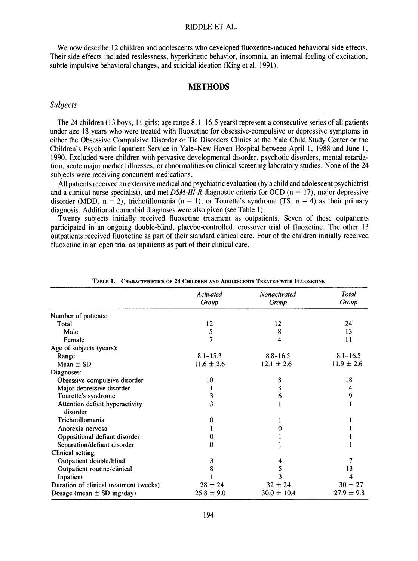### RIDDLE ET AL.

We now describe 12 children and adolescents who developed fluoxetine-induced behavioral side effects. Their side effects included restlessness, hyperkinetic behavior, insomnia, an internal feeling of excitation, subtle impulsive behavioral changes, and suicidal ideation (King et al. 1991).

# METHODS

## Subjects

The <sup>24</sup> children (13 boys, <sup>11</sup> girls; age range 8.1-16.5 years) represent <sup>a</sup> consecutive series of all patients under age <sup>18</sup> years who were treated with fluoxetine for obsessive-compulsive or depressive symptoms in either the Obsessive Compulsive Disorder or Tic Disorders Clinics at the Yale Child Study Center or the Children's Psychiatric Inpatient Service in Yale-New Haven Hospital between April 1, <sup>1988</sup> and June 1, 1990. Excluded were children with pervasive developmental disorder, psychotic disorders, mental retardation, acute major medical illnesses, or abnormalities on clinical screening laboratory studies. None of the <sup>24</sup> subjects were receiving concurrent medications.

All patients received an extensive medical and psychiatric evaluation (by <sup>a</sup> child and adolescent psychiatrist and a clinical nurse specialist), and met *DSM-III-R* diagnostic criteria for OCD ( $n = 17$ ), major depressive disorder (MDD,  $n = 2$ ), trichotillomania ( $n = 1$ ), or Tourette's syndrome (TS,  $n = 4$ ) as their primary diagnosis. Additional comorbid diagnoses were also given (see Table 1).

Twenty subjects initially received fluoxetine treatment as outpatients. Seven of these outpatients participated in an ongoing double-blind, placebo-controlled, crossover trial of fluoxetine. The other <sup>13</sup> outpatients received fluoxetine as part of their standard clinical care. Four of the children initially received fluoxetine in an open trial as inpatients as part of their clinical care.

|                                        | Activated<br>Group | <b>Nonactivated</b><br>Group | Total<br>Group |
|----------------------------------------|--------------------|------------------------------|----------------|
| Number of patients:                    |                    |                              |                |
| Total                                  | 12                 | 12                           | 24             |
| Male                                   | 5                  | 8                            | 13             |
| Female                                 | 7                  | 4                            | 11             |
| Age of subjects (years):               |                    |                              |                |
| Range                                  | $8.1 - 15.3$       | $8.8 - 16.5$                 | $8.1 - 16.5$   |
| Mean $\pm$ SD                          | $11.6 \pm 2.6$     | $12.1 \pm 2.6$               | $11.9 \pm 2.6$ |
| Diagnoses:                             |                    |                              |                |
| Obsessive compulsive disorder          | 10                 | 8                            | 18             |
| Major depressive disorder              |                    | 3                            | 4              |
| Tourette's syndrome                    | 3                  | 6                            | 9              |
| Attention deficit hyperactivity        | 3                  |                              |                |
| disorder                               |                    |                              |                |
| Trichotillomania                       | 0                  |                              |                |
| Anorexia nervosa                       |                    |                              |                |
| Oppositional defiant disorder          | 0                  |                              |                |
| Separation/defiant disorder            | 0                  |                              |                |
| Clinical setting:                      |                    |                              |                |
| Outpatient double/blind                | 3                  | 4                            |                |
| Outpatient routine/clinical            | 8                  | 5                            | 13             |
| Inpatient                              |                    | 3                            |                |
| Duration of clinical treatment (weeks) | $28 \pm 24$        | $32 \pm 24$                  | $30 \pm 27$    |
| Dosage (mean $\pm$ SD mg/day)          | $25.8 \pm 9.0$     | $30.0 \pm 10.4$              | $27.9 \pm 9.8$ |

Table 1. Characteristics of 24 Children and Adolescents Treated with Fluoxetine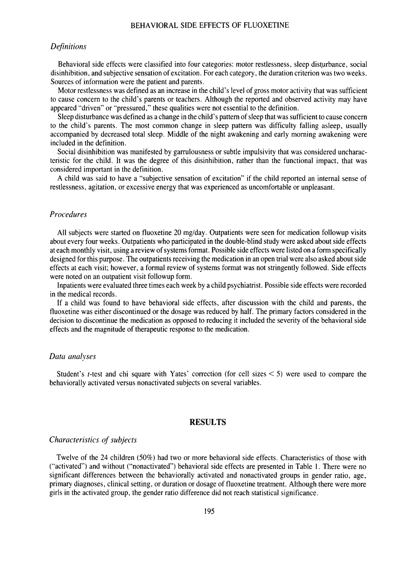## BEHAVIORAL SIDE EFFECTS OF FLUOXETINE

## **Definitions**

Behavioral side effects were classified into four categories: motor restlessness, sleep disturbance, social disinhibition, and subjective sensation of excitation. For each category, the duration criterion was two weeks. Sources of information were the patient and parents.

Motor restlessness was defined as an increase in the child's level of gross motor activity that was sufficient to cause concern to the child's parents or teachers. Although the reported and observed activity may have appeared "driven" or "pressured," these qualities were not essential to the definition.

Sleep disturbance was defined as <sup>a</sup> change in the child's pattern of sleep that was sufficient to cause concern to the child's parents. The most common change in sleep pattern was difficulty falling asleep, usually accompanied by decreased total sleep. Middle of the night awakening and early morning awakening were included in the definition.

Social disinhibition was manifested by garrulousness or subtle impulsivity that was considered uncharacteristic for the child. It was the degree of this disinhibition, rather than the functional impact, that was considered important in the definition.

A child was said to have <sup>a</sup> "subjective sensation of excitation" if the child reported an internal sense of restlessness, agitation, or excessive energy that was experienced as uncomfortable or unpleasant.

# Procedures

All subjects were started on fluoxetine <sup>20</sup> mg/day. Outpatients were seen for medication followup visits about every four weeks. Outpatients who participated in the double-blind study were asked about side effects at each monthly visit, using <sup>a</sup> review of systems format. Possible side effects were listed on <sup>a</sup> form specifically designed for this purpose. The outpatients receiving the medication in an open trial were also asked about side effects at each visit; however, <sup>a</sup> formal review of systems format was not stringently followed. Side effects were noted on an outpatient visit followup form.

Inpatients were evaluated three times each week by <sup>a</sup> child psychiatrist. Possible side effects were recorded in the medical records.

If <sup>a</sup> child was found to have behavioral side effects, after discussion with the child and parents, the fluoxetine was either discontinued or the dosage was reduced by half. The primary factors considered in the decision to discontinue the medication as opposed to reducing it included the severity of the behavioral side effects and the magnitude of therapeutic response to the medication.

## Data analyses

Student's *t*-test and chi square with Yates' correction (for cell sizes  $\leq$  5) were used to compare the behaviorally activated versus nonactivated subjects on several variables.

# RESULTS

#### Characteristics of subjects

Twelve of the 24 children (50%) had two or more behavioral side effects. Characteristics of those with ("activated") and without ("nonactivated") behavioral side effects are presented in Table 1. There were no significant differences between the behaviorally activated and nonactivated groups in gender ratio, age, primary diagnoses, clinical setting, or duration or dosage of fluoxetine treatment. Although there were more girls in the activated group, the gender ratio difference did not reach statistical significance.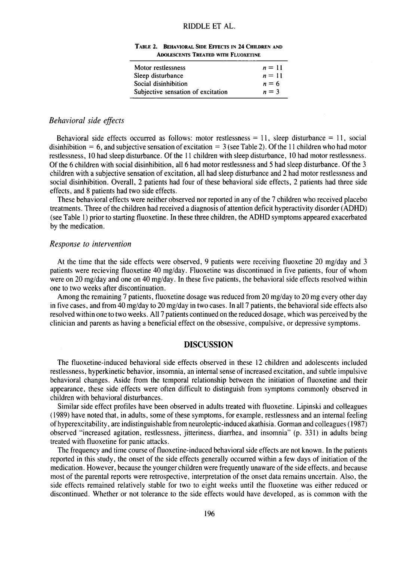#### RIDDLE ET AL.

| TABLE 2. BEHAVIORAL SIDE EFFECTS IN 24 CHILDREN AND |  |
|-----------------------------------------------------|--|
| <b>ADOLESCENTS TREATED WITH FLUOXETINE</b>          |  |

| Motor restlessness                 | $n=11$  |
|------------------------------------|---------|
| Sleep disturbance                  | $n=11$  |
| Social disinhibition               | $n = 6$ |
| Subjective sensation of excitation | $n = 3$ |
|                                    |         |

## Behavioral side effects

Behavioral side effects occurred as follows: motor restlessness = 11, sleep disturbance = 11, social disinhibition = 6, and subjective sensation of excitation <sup>=</sup> <sup>3</sup> (see Table 2). Of the <sup>11</sup> children who had motor restlessness, <sup>10</sup> had sleep disturbance. Of the <sup>11</sup> children with sleep disturbance, <sup>10</sup> had motor restlessness. Of the <sup>6</sup> children with social disinhibition, all <sup>6</sup> had motor restlessness and <sup>5</sup> had sleep disturbance. Of the <sup>3</sup> children with <sup>a</sup> subjective sensation of excitation, all had sleep disturbance and <sup>2</sup> had motor restlessness and social disinhibition. Overall, <sup>2</sup> patients had four of these behavioral side effects, <sup>2</sup> patients had three side effects, and <sup>8</sup> patients had two side effects.

These behavioral effects were neither observed nor reported in any of the <sup>7</sup> children who received placebo treatments. Three of the children had received <sup>a</sup> diagnosis of attention deficit hyperactivity disorder (ADHD) (see Table <sup>1</sup> ) prior to starting fluoxetine. In these three children, the ADHD symptoms appeared exacerbated by the medication.

## Response to intervention

At the time that the side effects were observed, <sup>9</sup> patients were receiving fluoxetine <sup>20</sup> mg/day and <sup>3</sup> patients were recieving fluoxetine <sup>40</sup> mg/day. Fluoxetine was discontinued in five patients, four of whom were on 20 mg/day and one on 40 mg/day. In these five patients, the behavioral side effects resolved within one to two weeks after discontinuation.

Among the remaining <sup>7</sup> patients, fluoxetine dosage was reduced from 20 mg/day to 20 mg every other day in five cases, and from 40 mg/day to 20 mg/day in two cases. In all <sup>7</sup> patients, the behavioral side effects also resolved within one to two weeks. All <sup>7</sup> patients continued on the reduced dosage, which was perceived by the clinician and parents as having <sup>a</sup> beneficial effect on the obsessive, compulsive, or depressive symptoms.

## DISCUSSION

The fluoxetine-induced behavioral side effects observed in these 12 children and adolescents included restlessness, hyperkinetic behavior, insomnia, an internal sense of increased excitation, and subtle impulsive behavioral changes. Aside from the temporal relationship between the initiation of fluoxetine and their appearance, these side effects were often difficult to distinguish from symptoms commonly observed in children with behavioral disturbances.

Similar side effect profiles have been observed in adults treated with fluoxetine. Lipinski and colleagues (1989) have noted that, in adults, some of these symptoms, for example, restlessness andan internal feeling of hyperexcitability, are indistinguishable from neuroleptic-induced akathisia. Gorman and colleagues ( 1987) observed "increased agitation, restlessness, jitteriness, diarrhea, and insomnia" (p. 331) in adults being treated with fluoxetine for panic attacks.

The frequency and time course of fluoxetine-induced behavioral side effects are not known. In the patients reported in this study, the onset of the side effects generally occurred within <sup>a</sup> few days of initiation of the medication. However, because the younger children were frequently unaware of the side effects, and because most of the parental reports were retrospective, interpretation of the onset data remains uncertain. Also, the side effects remained relatively stable for two to eight weeks until the fluoxetine was either reduced or discontinued. Whether or not tolerance to the side effects would have developed, as is common with the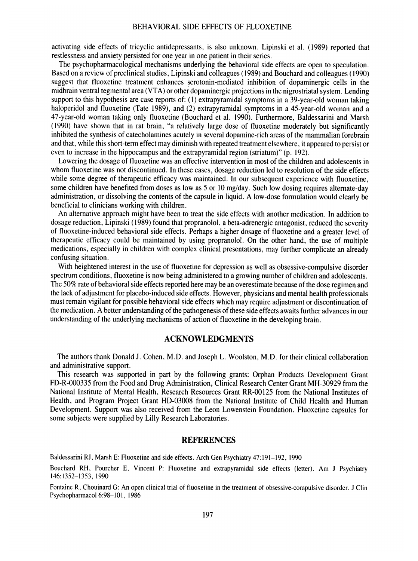#### BEHAVIORAL SIDE EFFECTS OF FLUOXETINE

activating side effects of tricyclic antidepressants, is also unknown. Lipinski et al. (1989) reported that restlessness and anxiety persisted for one year in one patient in their series.

The psychopharmacological mechanisms underlying the behavioral side effects are open to speculation. Based on <sup>a</sup> review of preclinical studies, Lipinski and colleagues ( 1989) and Bouchard and colleagues ( 1990) suggest that fluoxetine treatment enhances serotonin-mediated inhibition of dopaminergic cells in the midbrain ventral tegmental area (VTA) or other dopaminergic projections in the nigrostriatal system. Lending support to this hypothesis are case reports of: (1) extrapyramidal symptoms in a 39-year-old woman taking haloperidol and fluoxetine (Tate 1989), and (2) extrapyramidal symptoms in a 45-year-old woman and a 47-year-old woman taking only fluoxetine (Bouchard et al. 1990). Furthermore, Baldessarini and Marsh (1990) have shown that in rat brain, "a relatively large dose of fluoxetine moderately but significantly inhibited the synthesis of catecholamines acutely in several dopamine-rich areas of the mammalian forebrain and that, while this short-term effect may diminish with repeated treatment elsewhere, it appeared to persist or even to increase in the hippocampus and the extrapyramidal region (striatum)" (p. 192).

Lowering the dosage of fluoxetine was an effective intervention in most of the children and adolescents in whom fluoxetine was not discontinued. In these cases, dosage reduction led to resolution of the side effects while some degree of therapeutic efficacy was maintained. In our subsequent experience with fluoxetine, some children have benefited from doses as low as <sup>5</sup> or <sup>10</sup> mg/day. Such low dosing requires alternate-day administration, or dissolving the contents of the capsule in liquid. A low-dose formulation would clearly be beneficial to clinicians working with children.

An alternative approach might have been to treat the side effects with another medication. In addition to dosage reduction, Lipinski (1989) found that propranolol, <sup>a</sup> beta-adrenergic antagonist, reduced the severity of fluoxetine-induced behavioral side effects. Perhaps <sup>a</sup> higher dosage of fluoxetine and <sup>a</sup> greater level of therapeutic efficacy could be maintained by using propranolol. On the other hand, the use of multiple medications, especially in children with complex clinical presentations, may further complicate an already confusing situation.

With heightened interest in the use of fluoxetine for depression as well as obsessive-compulsive disorder spectrum conditions, fluoxetine is now being administered to <sup>a</sup> growing number of children and adolescents. The 50% rate of behavioral side effects reported here may be an overestimate because of the dose regimen and the lack of adjustment for placebo-induced side effects. However, physicians and mental health professionals must remain vigilant for possible behavioral side effects which may require adjustment or discontinuation of the medication. A better understanding of the pathogenesis of these side effects awaits further advances in our understanding of the underlying mechanisms of action of fluoxetine in the developing brain.

## ACKNOWLEDGMENTS

The authors thank Donald J. Cohen, M.D. and Joseph L. Woolston, M.D. for their clinical collaboration and administrative support.

This research was supported in part by the following grants: Orphan Products Development Grant FD-R-000335 from the Food and Drug Administration, Clinical Research Center Grant MH-30929 from the National Institute of Mental Health, Research Resources Grant RR-00125 from the National Institutes of Health, and Program Project Grant HD-03008 from the National Institute of Child Health and Human Development. Support was also received from the Leon Lowenstein Foundation. Fluoxetine capsules for some subjects were supplied by Lilly Research Laboratories.

#### REFERENCES

Baldessarini RJ, Marsh E: Fluoxetine and side effects. Arch Gen Psychiatry 47:191-192. <sup>1990</sup>

Bouchard RH, Pourcher E, Vincent P: Fluoxetine and extrapyramidal side effects (letter). Am <sup>J</sup> Psychiatry 146:1352-1353, 1990

Fontaine R, Chouinard G: An open clinical trial of fluoxetine in the treatment of obsessive-compulsive disorder. <sup>J</sup> Clin Psychopharmacol 6:98-101, 1986